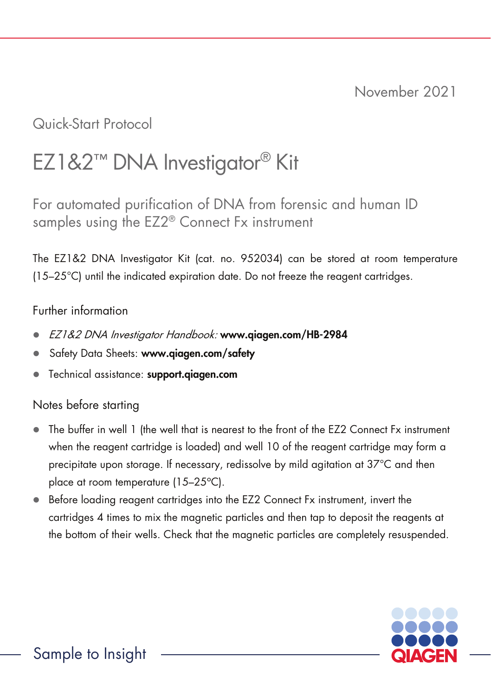Quick-Start Protocol

# EZ1&2™ DNA Investigator® Kit

For automated purification of DNA from forensic and human ID samples using the EZ2® Connect Fx instrument

The EZ1&2 DNA Investigator Kit (cat. no. 952034) can be stored at room temperature (15–25°C) until the indicated expiration date. Do not freeze the reagent cartridges.

## Further information

- EZ1&2 DNA Investigator Handbook: www.qiagen.com/HB-2984
- Safety Data Sheets: www.qiagen.com/safety
- Technical assistance: support.qiagen.com

## Notes before starting

- The buffer in well 1 (the well that is nearest to the front of the EZ2 Connect Fx instrument when the reagent cartridge is loaded) and well 10 of the reagent cartridge may form a precipitate upon storage. If necessary, redissolve by mild agitation at 37°C and then place at room temperature (15–25°C).
- Before loading reagent cartridges into the EZ2 Connect Fx instrument, invert the cartridges 4 times to mix the magnetic particles and then tap to deposit the reagents at the bottom of their wells. Check that the magnetic particles are completely resuspended.